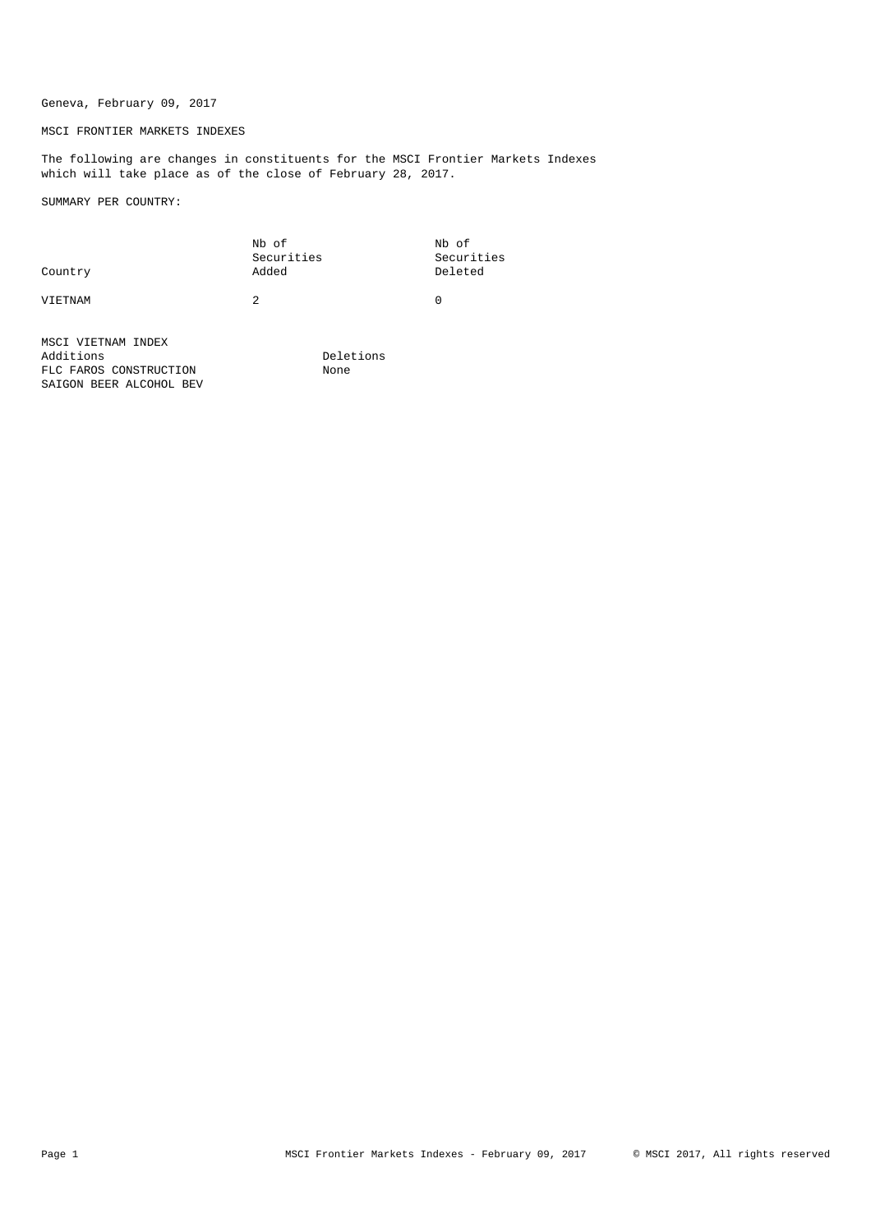# Geneva, February 09, 2017

## MSCI FRONTIER MARKETS INDEXES

The following are changes in constituents for the MSCI Frontier Markets Indexes which will take place as of the close of February 28, 2017.

SUMMARY PER COUNTRY:

| Country | Nb of<br>Securities<br>Added | Nb of<br>Securities<br>Deleted |
|---------|------------------------------|--------------------------------|
| VIETNAM |                              |                                |

MSCI VIETNAM INDEX Additions Deletions<br>FLC FAROS CONSTRUCTION None None FLC FAROS CONSTRUCTION SAIGON BEER ALCOHOL BEV